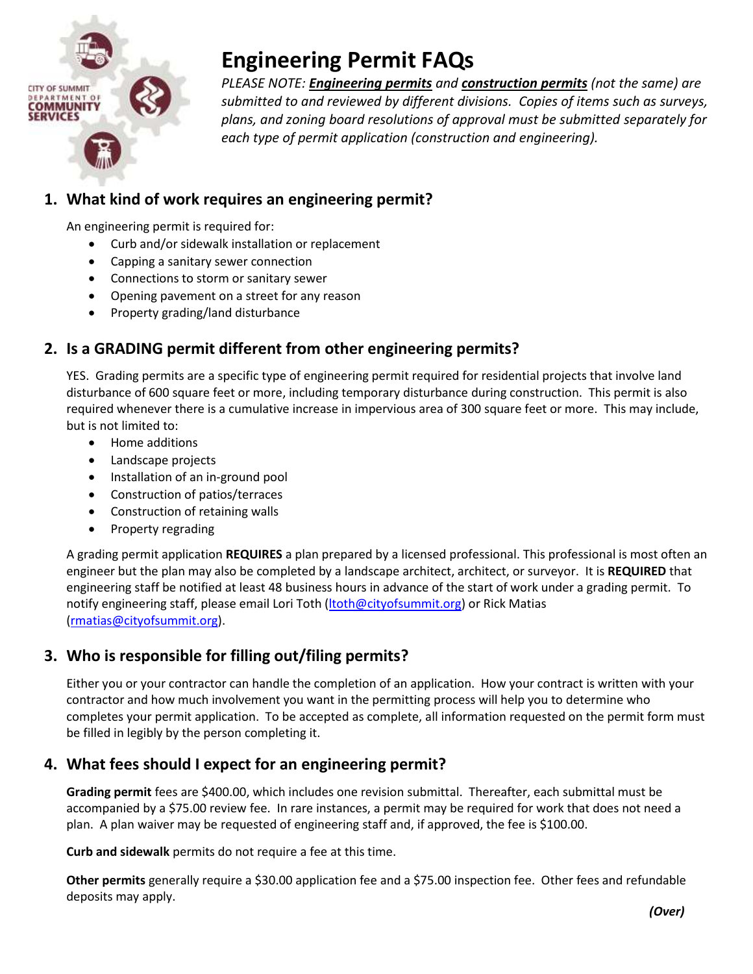

# **Engineering Permit FAQs**

*PLEASE NOTE: Engineering permits and construction permits (not the same) are submitted to and reviewed by different divisions. Copies of items such as surveys, plans, and zoning board resolutions of approval must be submitted separately for each type of permit application (construction and engineering).*

## **1. What kind of work requires an engineering permit?**

An engineering permit is required for:

- Curb and/or sidewalk installation or replacement
- Capping a sanitary sewer connection
- Connections to storm or sanitary sewer
- Opening pavement on a street for any reason
- Property grading/land disturbance

## **2. Is a GRADING permit different from other engineering permits?**

YES. Grading permits are a specific type of engineering permit required for residential projects that involve land disturbance of 600 square feet or more, including temporary disturbance during construction. This permit is also required whenever there is a cumulative increase in impervious area of 300 square feet or more. This may include, but is not limited to:

- Home additions
- Landscape projects
- Installation of an in-ground pool
- Construction of patios/terraces
- Construction of retaining walls
- Property regrading

A grading permit application **REQUIRES** a plan prepared by a licensed professional. This professional is most often an engineer but the plan may also be completed by a landscape architect, architect, or surveyor. It is **REQUIRED** that engineering staff be notified at least 48 business hours in advance of the start of work under a grading permit. To notify engineering staff, please email Lori Toth [\(ltoth@cityofsummit.org\)](mailto:ltoth@cityofsummit.org) or Rick Matias [\(rmatias@cityofsummit.org\)](mailto:rmatias@cityofsummit.org).

## **3. Who is responsible for filling out/filing permits?**

Either you or your contractor can handle the completion of an application. How your contract is written with your contractor and how much involvement you want in the permitting process will help you to determine who completes your permit application. To be accepted as complete, all information requested on the permit form must be filled in legibly by the person completing it.

## **4. What fees should I expect for an engineering permit?**

**Grading permit** fees are \$400.00, which includes one revision submittal. Thereafter, each submittal must be accompanied by a \$75.00 review fee. In rare instances, a permit may be required for work that does not need a plan. A plan waiver may be requested of engineering staff and, if approved, the fee is \$100.00.

**Curb and sidewalk** permits do not require a fee at this time.

**Other permits** generally require a \$30.00 application fee and a \$75.00 inspection fee. Other fees and refundable deposits may apply.